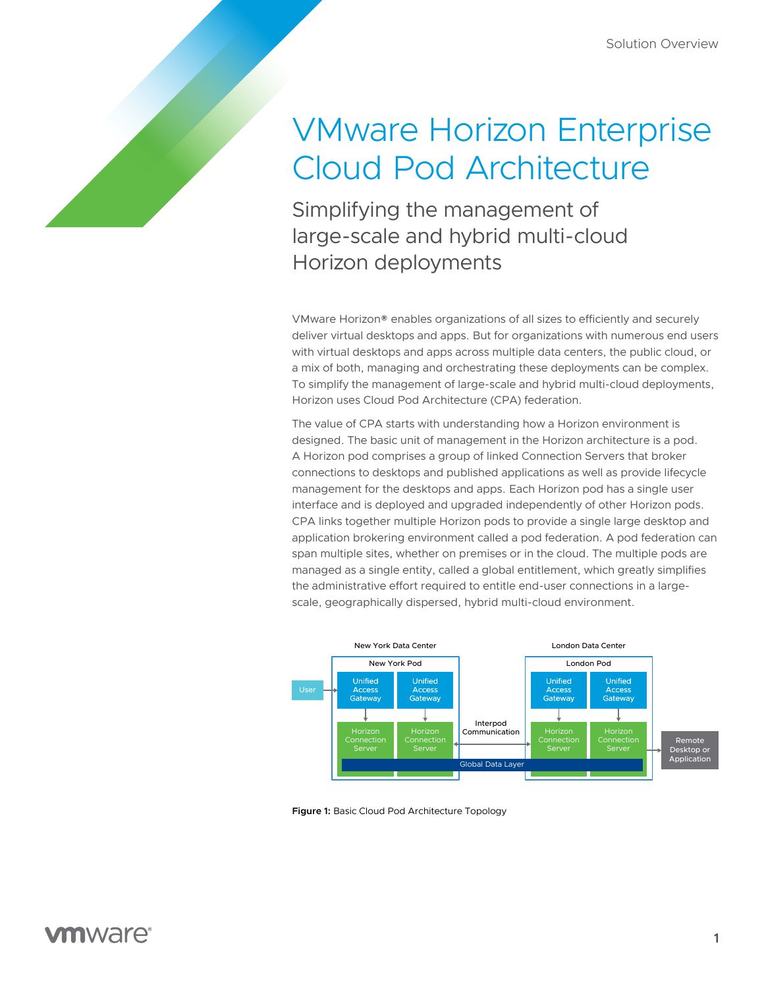# VMware Horizon Enterprise Cloud Pod Architecture

Simplifying the management of large-scale and hybrid multi-cloud Horizon deployments

VMware Horizon® enables organizations of all sizes to efficiently and securely deliver virtual desktops and apps. But for organizations with numerous end users with virtual desktops and apps across multiple data centers, the public cloud, or a mix of both, managing and orchestrating these deployments can be complex. To simplify the management of large-scale and hybrid multi-cloud deployments, Horizon uses Cloud Pod Architecture (CPA) federation.

The value of CPA starts with understanding how a Horizon environment is designed. The basic unit of management in the Horizon architecture is a pod. A Horizon pod comprises a group of linked Connection Servers that broker connections to desktops and published applications as well as provide lifecycle management for the desktops and apps. Each Horizon pod has a single user interface and is deployed and upgraded independently of other Horizon pods. CPA links together multiple Horizon pods to provide a single large desktop and application brokering environment called a pod federation. A pod federation can span multiple sites, whether on premises or in the cloud. The multiple pods are managed as a single entity, called a global entitlement, which greatly simplifies the administrative effort required to entitle end-user connections in a largescale, geographically dispersed, hybrid multi-cloud environment.



**Figure 1:** Basic Cloud Pod Architecture Topology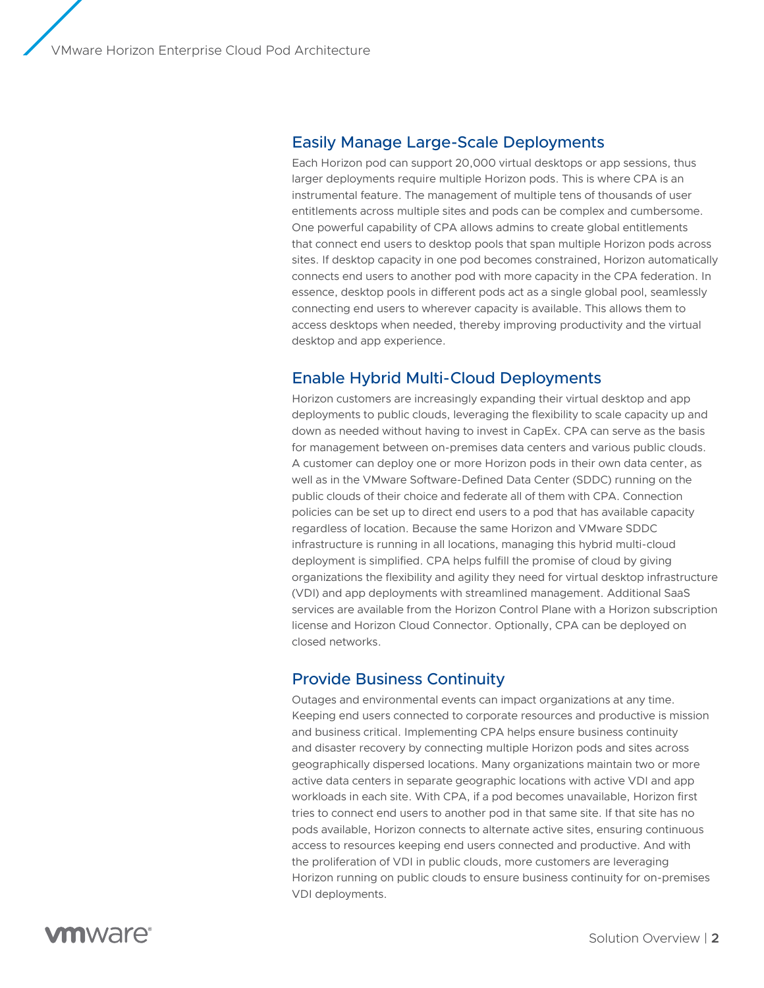#### Easily Manage Large-Scale Deployments

Each Horizon pod can support 20,000 virtual desktops or app sessions, thus larger deployments require multiple Horizon pods. This is where CPA is an instrumental feature. The management of multiple tens of thousands of user entitlements across multiple sites and pods can be complex and cumbersome. One powerful capability of CPA allows admins to create global entitlements that connect end users to desktop pools that span multiple Horizon pods across sites. If desktop capacity in one pod becomes constrained, Horizon automatically connects end users to another pod with more capacity in the CPA federation. In essence, desktop pools in different pods act as a single global pool, seamlessly connecting end users to wherever capacity is available. This allows them to access desktops when needed, thereby improving productivity and the virtual desktop and app experience.

### Enable Hybrid Multi-Cloud Deployments

Horizon customers are increasingly expanding their virtual desktop and app deployments to public clouds, leveraging the flexibility to scale capacity up and down as needed without having to invest in CapEx. CPA can serve as the basis for management between on-premises data centers and various public clouds. A customer can deploy one or more Horizon pods in their own data center, as well as in the VMware Software-Defined Data Center (SDDC) running on the public clouds of their choice and federate all of them with CPA. Connection policies can be set up to direct end users to a pod that has available capacity regardless of location. Because the same Horizon and VMware SDDC infrastructure is running in all locations, managing this hybrid multi-cloud deployment is simplified. CPA helps fulfill the promise of cloud by giving organizations the flexibility and agility they need for virtual desktop infrastructure (VDI) and app deployments with streamlined management. Additional SaaS services are available from the Horizon Control Plane with a Horizon subscription license and Horizon Cloud Connector. Optionally, CPA can be deployed on closed networks.

#### Provide Business Continuity

Outages and environmental events can impact organizations at any time. Keeping end users connected to corporate resources and productive is mission and business critical. Implementing CPA helps ensure business continuity and disaster recovery by connecting multiple Horizon pods and sites across geographically dispersed locations. Many organizations maintain two or more active data centers in separate geographic locations with active VDI and app workloads in each site. With CPA, if a pod becomes unavailable, Horizon first tries to connect end users to another pod in that same site. If that site has no pods available, Horizon connects to alternate active sites, ensuring continuous access to resources keeping end users connected and productive. And with the proliferation of VDI in public clouds, more customers are leveraging Horizon running on public clouds to ensure business continuity for on-premises VDI deployments.